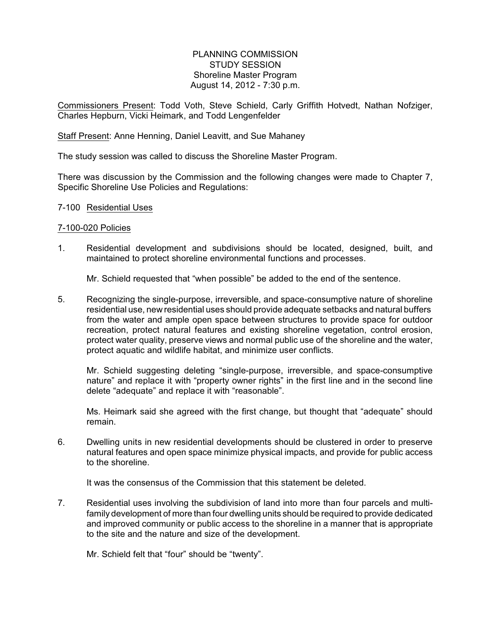# PLANNING COMMISSION STUDY SESSION Shoreline Master Program August 14, 2012 - 7:30 p.m.

Commissioners Present: Todd Voth, Steve Schield, Carly Griffith Hotvedt, Nathan Nofziger, Charles Hepburn, Vicki Heimark, and Todd Lengenfelder

#### Staff Present: Anne Henning, Daniel Leavitt, and Sue Mahaney

The study session was called to discuss the Shoreline Master Program.

There was discussion by the Commission and the following changes were made to Chapter 7, Specific Shoreline Use Policies and Regulations:

#### 7-100 Residential Uses

#### 7-100-020 Policies

1. Residential development and subdivisions should be located, designed, built, and maintained to protect shoreline environmental functions and processes.

Mr. Schield requested that "when possible" be added to the end of the sentence.

5. Recognizing the single-purpose, irreversible, and space-consumptive nature of shoreline residential use, new residential uses should provide adequate setbacks and natural buffers from the water and ample open space between structures to provide space for outdoor recreation, protect natural features and existing shoreline vegetation, control erosion, protect water quality, preserve views and normal public use of the shoreline and the water, protect aquatic and wildlife habitat, and minimize user conflicts.

Mr. Schield suggesting deleting "single-purpose, irreversible, and space-consumptive nature" and replace it with "property owner rights" in the first line and in the second line delete "adequate" and replace it with "reasonable".

Ms. Heimark said she agreed with the first change, but thought that "adequate" should remain.

6. Dwelling units in new residential developments should be clustered in order to preserve natural features and open space minimize physical impacts, and provide for public access to the shoreline.

It was the consensus of the Commission that this statement be deleted.

7. Residential uses involving the subdivision of land into more than four parcels and multifamily development of more than four dwelling units should be required to provide dedicated and improved community or public access to the shoreline in a manner that is appropriate to the site and the nature and size of the development.

Mr. Schield felt that "four" should be "twenty".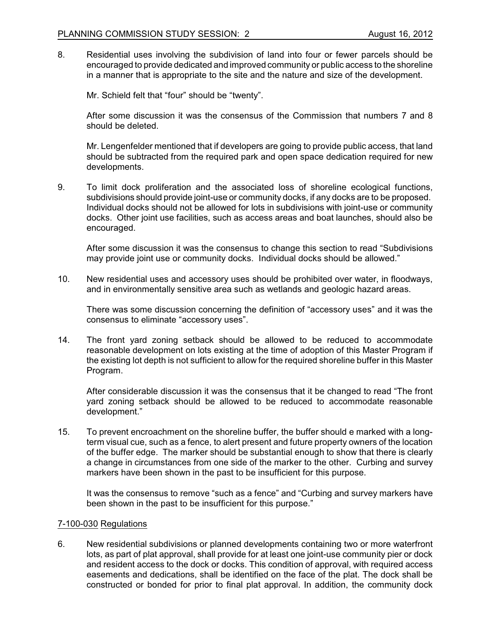8. Residential uses involving the subdivision of land into four or fewer parcels should be encouraged to provide dedicated and improved community or public access to the shoreline in a manner that is appropriate to the site and the nature and size of the development.

Mr. Schield felt that "four" should be "twenty".

After some discussion it was the consensus of the Commission that numbers 7 and 8 should be deleted.

Mr. Lengenfelder mentioned that if developers are going to provide public access, that land should be subtracted from the required park and open space dedication required for new developments.

9. To limit dock proliferation and the associated loss of shoreline ecological functions, subdivisions should provide joint-use or community docks, if any docks are to be proposed. Individual docks should not be allowed for lots in subdivisions with joint-use or community docks. Other joint use facilities, such as access areas and boat launches, should also be encouraged.

After some discussion it was the consensus to change this section to read "Subdivisions may provide joint use or community docks. Individual docks should be allowed."

10. New residential uses and accessory uses should be prohibited over water, in floodways, and in environmentally sensitive area such as wetlands and geologic hazard areas.

There was some discussion concerning the definition of "accessory uses" and it was the consensus to eliminate "accessory uses".

14. The front yard zoning setback should be allowed to be reduced to accommodate reasonable development on lots existing at the time of adoption of this Master Program if the existing lot depth is not sufficient to allow for the required shoreline buffer in this Master Program.

After considerable discussion it was the consensus that it be changed to read "The front yard zoning setback should be allowed to be reduced to accommodate reasonable development."

15. To prevent encroachment on the shoreline buffer, the buffer should e marked with a longterm visual cue, such as a fence, to alert present and future property owners of the location of the buffer edge. The marker should be substantial enough to show that there is clearly a change in circumstances from one side of the marker to the other. Curbing and survey markers have been shown in the past to be insufficient for this purpose.

It was the consensus to remove "such as a fence" and "Curbing and survey markers have been shown in the past to be insufficient for this purpose."

### 7-100-030 Regulations

6. New residential subdivisions or planned developments containing two or more waterfront lots, as part of plat approval, shall provide for at least one joint-use community pier or dock and resident access to the dock or docks. This condition of approval, with required access easements and dedications, shall be identified on the face of the plat. The dock shall be constructed or bonded for prior to final plat approval. In addition, the community dock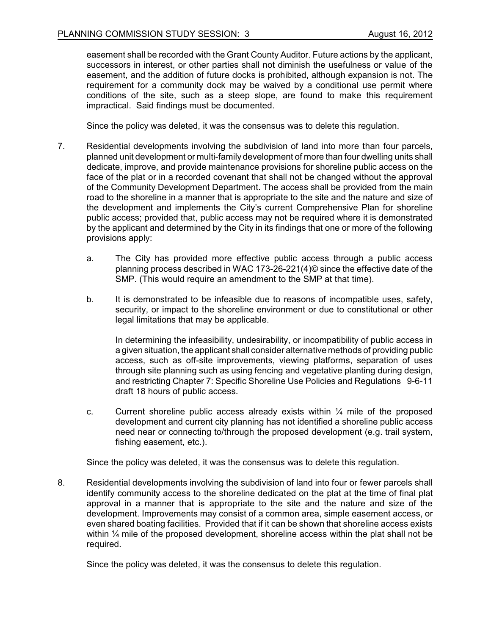easement shall be recorded with the Grant County Auditor. Future actions by the applicant, successors in interest, or other parties shall not diminish the usefulness or value of the easement, and the addition of future docks is prohibited, although expansion is not. The requirement for a community dock may be waived by a conditional use permit where conditions of the site, such as a steep slope, are found to make this requirement impractical. Said findings must be documented.

Since the policy was deleted, it was the consensus was to delete this regulation.

- 7. Residential developments involving the subdivision of land into more than four parcels, planned unit development or multi-family development of more than four dwelling units shall dedicate, improve, and provide maintenance provisions for shoreline public access on the face of the plat or in a recorded covenant that shall not be changed without the approval of the Community Development Department. The access shall be provided from the main road to the shoreline in a manner that is appropriate to the site and the nature and size of the development and implements the City's current Comprehensive Plan for shoreline public access; provided that, public access may not be required where it is demonstrated by the applicant and determined by the City in its findings that one or more of the following provisions apply:
	- a. The City has provided more effective public access through a public access planning process described in WAC 173-26-221(4)© since the effective date of the SMP. (This would require an amendment to the SMP at that time).
	- b. It is demonstrated to be infeasible due to reasons of incompatible uses, safety, security, or impact to the shoreline environment or due to constitutional or other legal limitations that may be applicable.

In determining the infeasibility, undesirability, or incompatibility of public access in a given situation, the applicant shall consider alternative methods of providing public access, such as off-site improvements, viewing platforms, separation of uses through site planning such as using fencing and vegetative planting during design, and restricting Chapter 7: Specific Shoreline Use Policies and Regulations 9-6-11 draft 18 hours of public access.

c. Current shoreline public access already exists within  $\frac{1}{4}$  mile of the proposed development and current city planning has not identified a shoreline public access need near or connecting to/through the proposed development (e.g. trail system, fishing easement, etc.).

Since the policy was deleted, it was the consensus was to delete this regulation.

8. Residential developments involving the subdivision of land into four or fewer parcels shall identify community access to the shoreline dedicated on the plat at the time of final plat approval in a manner that is appropriate to the site and the nature and size of the development. Improvements may consist of a common area, simple easement access, or even shared boating facilities. Provided that if it can be shown that shoreline access exists within  $\frac{1}{4}$  mile of the proposed development, shoreline access within the plat shall not be required.

Since the policy was deleted, it was the consensus to delete this regulation.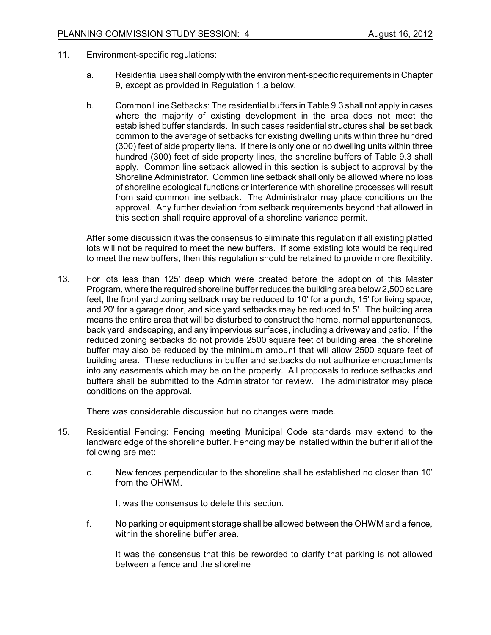- 11. Environment-specific regulations:
	- a. Residential uses shall comply with the environment-specific requirements in Chapter 9, except as provided in Regulation 1.a below.
	- b. Common Line Setbacks: The residential buffers in Table 9.3 shall not apply in cases where the majority of existing development in the area does not meet the established buffer standards. In such cases residential structures shall be set back common to the average of setbacks for existing dwelling units within three hundred (300) feet of side property liens. If there is only one or no dwelling units within three hundred (300) feet of side property lines, the shoreline buffers of Table 9.3 shall apply. Common line setback allowed in this section is subject to approval by the Shoreline Administrator. Common line setback shall only be allowed where no loss of shoreline ecological functions or interference with shoreline processes will result from said common line setback. The Administrator may place conditions on the approval. Any further deviation from setback requirements beyond that allowed in this section shall require approval of a shoreline variance permit.

After some discussion it was the consensus to eliminate this regulation if all existing platted lots will not be required to meet the new buffers. If some existing lots would be required to meet the new buffers, then this regulation should be retained to provide more flexibility.

13. For lots less than 125' deep which were created before the adoption of this Master Program, where the required shoreline buffer reduces the building area below 2,500 square feet, the front yard zoning setback may be reduced to 10' for a porch, 15' for living space, and 20' for a garage door, and side yard setbacks may be reduced to 5'. The building area means the entire area that will be disturbed to construct the home, normal appurtenances, back yard landscaping, and any impervious surfaces, including a driveway and patio. If the reduced zoning setbacks do not provide 2500 square feet of building area, the shoreline buffer may also be reduced by the minimum amount that will allow 2500 square feet of building area. These reductions in buffer and setbacks do not authorize encroachments into any easements which may be on the property. All proposals to reduce setbacks and buffers shall be submitted to the Administrator for review. The administrator may place conditions on the approval.

There was considerable discussion but no changes were made.

- 15. Residential Fencing: Fencing meeting Municipal Code standards may extend to the landward edge of the shoreline buffer. Fencing may be installed within the buffer if all of the following are met:
	- c. New fences perpendicular to the shoreline shall be established no closer than 10' from the OHWM.

It was the consensus to delete this section.

f. No parking or equipment storage shall be allowed between the OHWM and a fence, within the shoreline buffer area.

It was the consensus that this be reworded to clarify that parking is not allowed between a fence and the shoreline